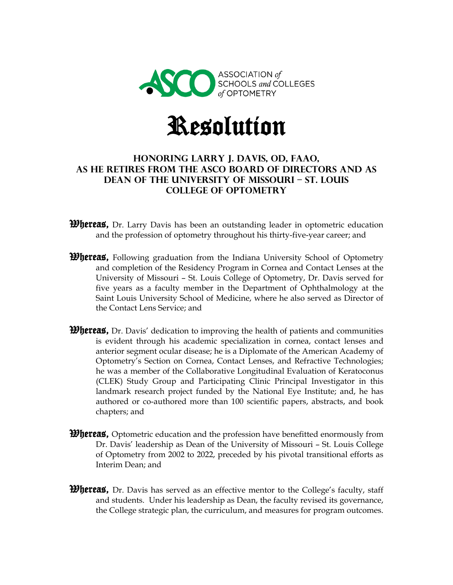

## Resolution

## **Honoring Larry J. Davis, OD, FAAO, as he retires from the ASCO Board of Directors and as Dean of the University of Missouri – St. Louis College of Optometry**

- **Whereas,** Dr. Larry Davis has been an outstanding leader in optometric education and the profession of optometry throughout his thirty-five-year career; and
- **Whereas,** Following graduation from the Indiana University School of Optometry and completion of the Residency Program in Cornea and Contact Lenses at the University of Missouri – St. Louis College of Optometry, Dr. Davis served for five years as a faculty member in the Department of Ophthalmology at the Saint Louis University School of Medicine, where he also served as Director of the Contact Lens Service; and
- **Whereas,** Dr. Davis' dedication to improving the health of patients and communities is evident through his academic specialization in cornea, contact lenses and anterior segment ocular disease; he is a Diplomate of the American Academy of Optometry's Section on Cornea, Contact Lenses, and Refractive Technologies; he was a member of the Collaborative Longitudinal Evaluation of Keratoconus (CLEK) Study Group and Participating Clinic Principal Investigator in this landmark research project funded by the National Eye Institute; and, he has authored or co-authored more than 100 scientific papers, abstracts, and book chapters; and
- **Whereas,** Optometric education and the profession have benefitted enormously from Dr. Davis' leadership as Dean of the University of Missouri – St. Louis College of Optometry from 2002 to 2022, preceded by his pivotal transitional efforts as Interim Dean; and
- **Whereas,** Dr. Davis has served as an effective mentor to the College's faculty, staff and students. Under his leadership as Dean, the faculty revised its governance, the College strategic plan, the curriculum, and measures for program outcomes.